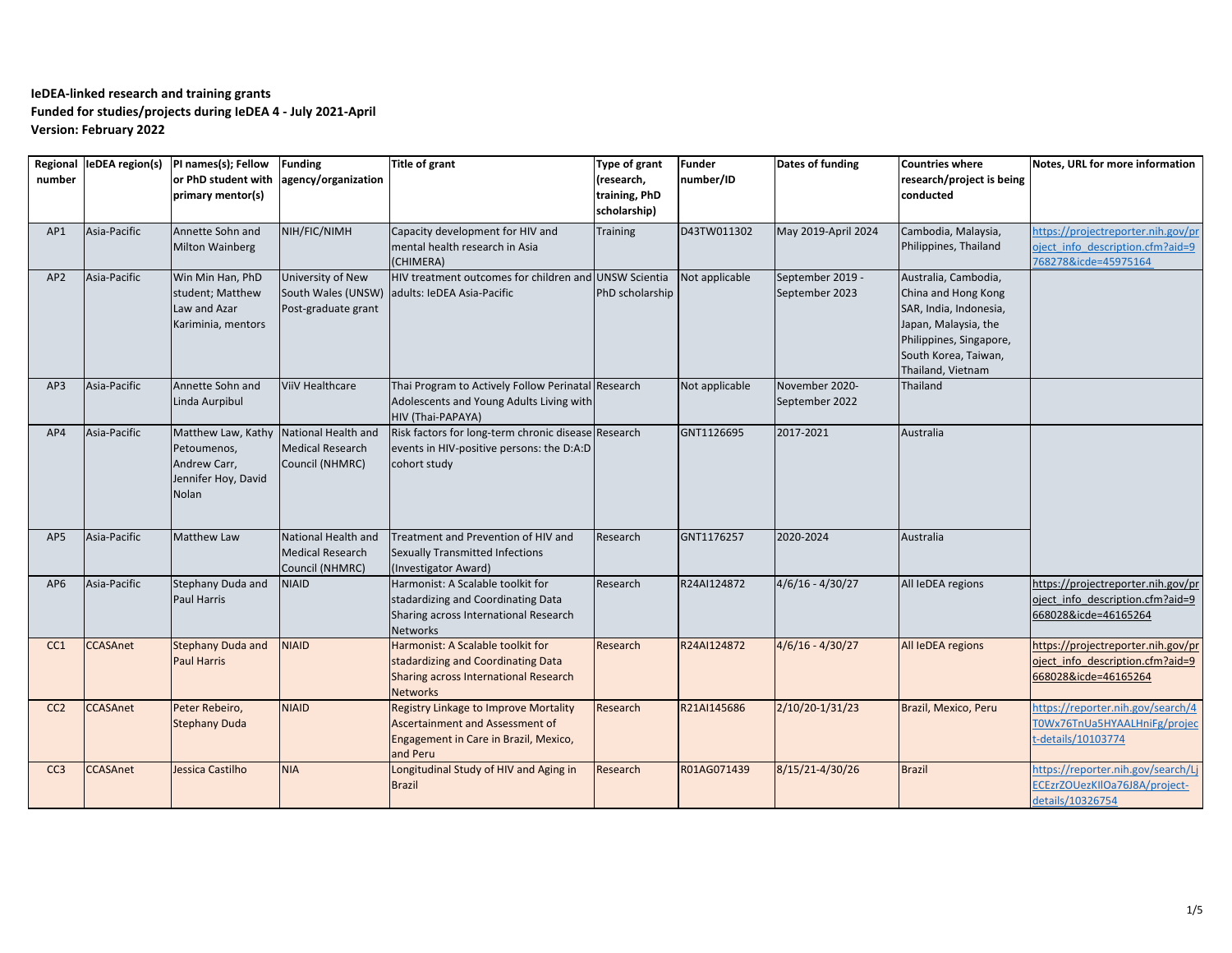| Regional<br>number |                 | leDEA region(s)  PI names(s); Fellow<br>or PhD student with<br>primary mentor(s)                      | <b>Funding</b><br>agency/organization                             | <b>Title of grant</b>                                                                                                                | Type of grant<br>(research,<br>training, PhD<br>scholarship) | <b>Funder</b><br>number/ID | Dates of funding                   | <b>Countries where</b><br>research/project is being<br>conducted                                                                                                      | Notes, URL for more information                                                                |
|--------------------|-----------------|-------------------------------------------------------------------------------------------------------|-------------------------------------------------------------------|--------------------------------------------------------------------------------------------------------------------------------------|--------------------------------------------------------------|----------------------------|------------------------------------|-----------------------------------------------------------------------------------------------------------------------------------------------------------------------|------------------------------------------------------------------------------------------------|
| AP1                | Asia-Pacific    | Annette Sohn and<br><b>Milton Wainberg</b>                                                            | NIH/FIC/NIMH                                                      | Capacity development for HIV and<br>mental health research in Asia<br>(CHIMERA)                                                      | <b>Training</b>                                              | D43TW011302                | May 2019-April 2024                | Cambodia, Malaysia,<br>Philippines, Thailand                                                                                                                          | https://projectreporter.nih.gov/pr<br>oject info description.cfm?aid=9<br>768278&icde=45975164 |
| AP <sub>2</sub>    | Asia-Pacific    | Win Min Han, PhD<br>student; Matthew<br>Law and Azar<br>Kariminia, mentors                            | University of New<br>Post-graduate grant                          | HIV treatment outcomes for children and UNSW Scientia<br>South Wales (UNSW) adults: IeDEA Asia-Pacific                               | PhD scholarship                                              | Not applicable             | September 2019 -<br>September 2023 | Australia, Cambodia,<br>China and Hong Kong<br>SAR, India, Indonesia,<br>Japan, Malaysia, the<br>Philippines, Singapore,<br>South Korea, Taiwan,<br>Thailand, Vietnam |                                                                                                |
| AP3                | Asia-Pacific    | Annette Sohn and<br>Linda Aurpibul                                                                    | <b>ViiV Healthcare</b>                                            | Thai Program to Actively Follow Perinatal Research<br>Adolescents and Young Adults Living with<br>HIV (Thai-PAPAYA)                  |                                                              | Not applicable             | November 2020-<br>September 2022   | Thailand                                                                                                                                                              |                                                                                                |
| AP4                | Asia-Pacific    | Matthew Law, Kathy National Health and<br>Petoumenos,<br>Andrew Carr,<br>Jennifer Hoy, David<br>Nolan | <b>Medical Research</b><br>Council (NHMRC)                        | Risk factors for long-term chronic disease Research<br>events in HIV-positive persons: the D:A:D<br>cohort study                     |                                                              | GNT1126695                 | 2017-2021                          | Australia                                                                                                                                                             |                                                                                                |
| AP5                | Asia-Pacific    | Matthew Law                                                                                           | National Health and<br><b>Medical Research</b><br>Council (NHMRC) | Treatment and Prevention of HIV and<br>Sexually Transmitted Infections<br>(Investigator Award)                                       | Research                                                     | GNT1176257                 | 2020-2024                          | Australia                                                                                                                                                             |                                                                                                |
| AP <sub>6</sub>    | Asia-Pacific    | Stephany Duda and<br><b>Paul Harris</b>                                                               | <b>NIAID</b>                                                      | Harmonist: A Scalable toolkit for<br>stadardizing and Coordinating Data<br>Sharing across International Research<br><b>Networks</b>  | Research                                                     | R24AI124872                | $4/6/16 - 4/30/27$                 | All IeDEA regions                                                                                                                                                     | https://projectreporter.nih.gov/pr<br>oject info description.cfm?aid=9<br>668028&icde=46165264 |
| CC1                | <b>CCASAnet</b> | <b>Stephany Duda and</b><br><b>Paul Harris</b>                                                        | <b>NIAID</b>                                                      | Harmonist: A Scalable toolkit for<br>stadardizing and Coordinating Data<br>Sharing across International Research<br><b>Networks</b>  | Research                                                     | R24AI124872                | $4/6/16 - 4/30/27$                 | All IeDEA regions                                                                                                                                                     | https://projectreporter.nih.gov/pr<br>oject info description.cfm?aid=9<br>668028&icde=46165264 |
| CC <sub>2</sub>    | <b>CCASAnet</b> | Peter Rebeiro,<br><b>Stephany Duda</b>                                                                | <b>NIAID</b>                                                      | <b>Registry Linkage to Improve Mortality</b><br>Ascertainment and Assessment of<br>Engagement in Care in Brazil, Mexico,<br>and Peru | Research                                                     | R21AI145686                | 2/10/20-1/31/23                    | Brazil, Mexico, Peru                                                                                                                                                  | https://reporter.nih.gov/search/4<br>T0Wx76TnUa5HYAALHniFg/projec<br>details/10103774          |
| CC <sub>3</sub>    | <b>CCASAnet</b> | Jessica Castilho                                                                                      | <b>NIA</b>                                                        | Longitudinal Study of HIV and Aging in<br><b>Brazil</b>                                                                              | Research                                                     | R01AG071439                | 8/15/21-4/30/26                    | <b>Brazil</b>                                                                                                                                                         | https://reporter.nih.gov/search/L<br>ECEzrZOUezKIlOa76J8A/project-<br>details/10326754         |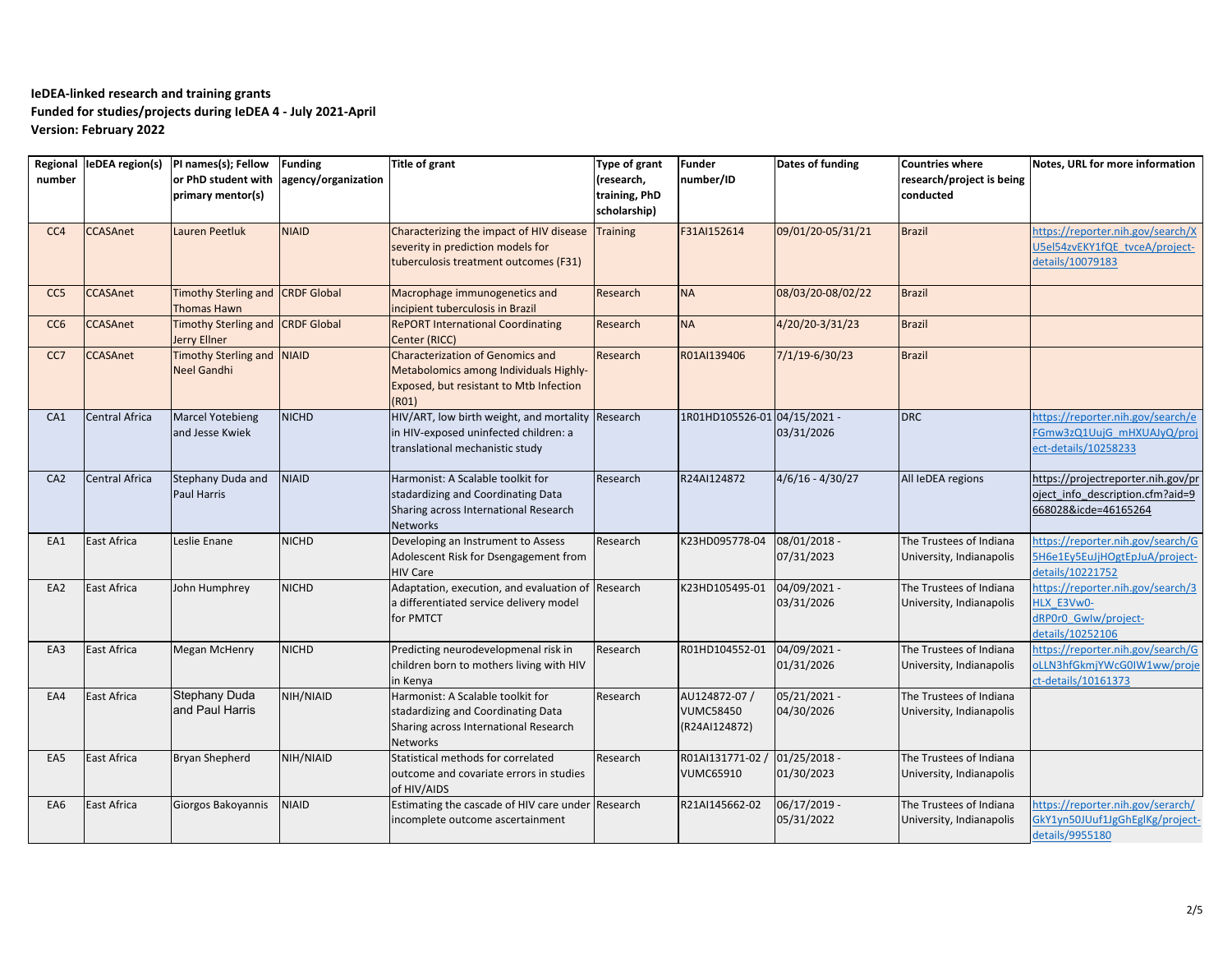| number          |                       | Regional leDEA region(s) PI names(s); Fellow<br>or PhD student with<br>primary mentor(s) | <b>Funding</b><br>agency/organization | <b>Title of grant</b>                                                                                                                 | Type of grant<br>research,<br>training, PhD<br>scholarship) | <b>Funder</b><br>number/ID                         | Dates of funding             | <b>Countries where</b><br>research/project is being<br>conducted | Notes, URL for more information                                                                |
|-----------------|-----------------------|------------------------------------------------------------------------------------------|---------------------------------------|---------------------------------------------------------------------------------------------------------------------------------------|-------------------------------------------------------------|----------------------------------------------------|------------------------------|------------------------------------------------------------------|------------------------------------------------------------------------------------------------|
| CC <sub>4</sub> | <b>CCASAnet</b>       | Lauren Peetluk                                                                           | <b>NIAID</b>                          | Characterizing the impact of HIV disease<br>severity in prediction models for<br>tuberculosis treatment outcomes (F31)                | <b>Training</b>                                             | F31AI152614                                        | 09/01/20-05/31/21            | <b>Brazil</b>                                                    | https://reporter.nih.gov/search/X<br>U5el54zvEKY1fQE tvceA/project-<br>details/10079183        |
| CC <sub>5</sub> | <b>CCASAnet</b>       | Timothy Sterling and CRDF Global<br>Thomas Hawn                                          |                                       | Macrophage immunogenetics and<br>incipient tuberculosis in Brazil                                                                     | Research                                                    | <b>NA</b>                                          | 08/03/20-08/02/22            | <b>Brazil</b>                                                    |                                                                                                |
| CC <sub>6</sub> | <b>CCASAnet</b>       | Timothy Sterling and CRDF Global<br><b>Jerry Ellner</b>                                  |                                       | <b>RePORT International Coordinating</b><br>Center (RICC)                                                                             | Research                                                    | <b>NA</b>                                          | 4/20/20-3/31/23              | <b>Brazil</b>                                                    |                                                                                                |
| CC7             | <b>CCASAnet</b>       | Timothy Sterling and NIAID<br><b>Neel Gandhi</b>                                         |                                       | <b>Characterization of Genomics and</b><br>Metabolomics among Individuals Highly-<br>Exposed, but resistant to Mtb Infection<br>(R01) | Research                                                    | R01AI139406                                        | $7/1/19 - 6/30/23$           | <b>Brazil</b>                                                    |                                                                                                |
| CA1             | <b>Central Africa</b> | <b>Marcel Yotebieng</b><br>and Jesse Kwiek                                               | <b>NICHD</b>                          | HIV/ART, low birth weight, and mortality Research<br>in HIV-exposed uninfected children: a<br>translational mechanistic study         |                                                             | 1R01HD105526-01 04/15/2021 -                       | 03/31/2026                   | <b>DRC</b>                                                       | https://reporter.nih.gov/search/e<br>FGmw3zQ1UujG mHXUAJyQ/proj<br>ect-details/10258233        |
| CA2             | <b>Central Africa</b> | Stephany Duda and<br>Paul Harris                                                         | <b>NIAID</b>                          | Harmonist: A Scalable toolkit for<br>stadardizing and Coordinating Data<br>Sharing across International Research<br><b>Networks</b>   | Research                                                    | R24AI124872                                        | $4/6/16 - 4/30/27$           | All IeDEA regions                                                | https://projectreporter.nih.gov/pr<br>oject info description.cfm?aid=9<br>668028&icde=46165264 |
| EA1             | <b>East Africa</b>    | Leslie Enane                                                                             | <b>NICHD</b>                          | Developing an Instrument to Assess<br>Adolescent Risk for Dsengagement from<br><b>HIV Care</b>                                        | Research                                                    | K23HD095778-04                                     | 08/01/2018 -<br>07/31/2023   | The Trustees of Indiana<br>University, Indianapolis              | nttps://reporter.nih.gov/search/G<br>5H6e1Ey5EuJjHOgtEpJuA/project-<br>details/10221752        |
| EA2             | <b>East Africa</b>    | John Humphrey                                                                            | <b>NICHD</b>                          | Adaptation, execution, and evaluation of<br>a differentiated service delivery model<br>for PMTCT                                      | Research                                                    | K23HD105495-01                                     | 04/09/2021 -<br>03/31/2026   | The Trustees of Indiana<br>University, Indianapolis              | https://reporter.nih.gov/search/3<br>HLX E3Vw0-<br>dRP0r0 Gwlw/project-<br>details/10252106    |
| EA3             | East Africa           | <b>Megan McHenry</b>                                                                     | <b>NICHD</b>                          | Predicting neurodevelopmenal risk in<br>children born to mothers living with HIV<br>in Kenya                                          | Research                                                    | R01HD104552-01                                     | 04/09/2021 -<br>01/31/2026   | The Trustees of Indiana<br>University, Indianapolis              | https://reporter.nih.gov/search/G<br>oLLN3hfGkmjYWcG0IW1ww/proje<br>ct-details/10161373        |
| EA4             | <b>East Africa</b>    | Stephany Duda<br>and Paul Harris                                                         | NIH/NIAID                             | Harmonist: A Scalable toolkit for<br>stadardizing and Coordinating Data<br>Sharing across International Research<br><b>Networks</b>   | Research                                                    | AU124872-07 /<br><b>VUMC58450</b><br>(R24AI124872) | 05/21/2021 -<br>04/30/2026   | The Trustees of Indiana<br>University, Indianapolis              |                                                                                                |
| EA5             | East Africa           | Bryan Shepherd                                                                           | NIH/NIAID                             | Statistical methods for correlated<br>outcome and covariate errors in studies<br>of HIV/AIDS                                          | Research                                                    | R01AI131771-02 /<br><b>VUMC65910</b>               | $01/25/2018 -$<br>01/30/2023 | The Trustees of Indiana<br>University, Indianapolis              |                                                                                                |
| EA6             | <b>East Africa</b>    | Giorgos Bakoyannis                                                                       | <b>NIAID</b>                          | Estimating the cascade of HIV care under<br>incomplete outcome ascertainment                                                          | Research                                                    | R21AI145662-02                                     | 06/17/2019 -<br>05/31/2022   | The Trustees of Indiana<br>University, Indianapolis              | https://reporter.nih.gov/serarch/<br>GkY1yn50JUuf1JgGhEglKg/project-<br>details/9955180        |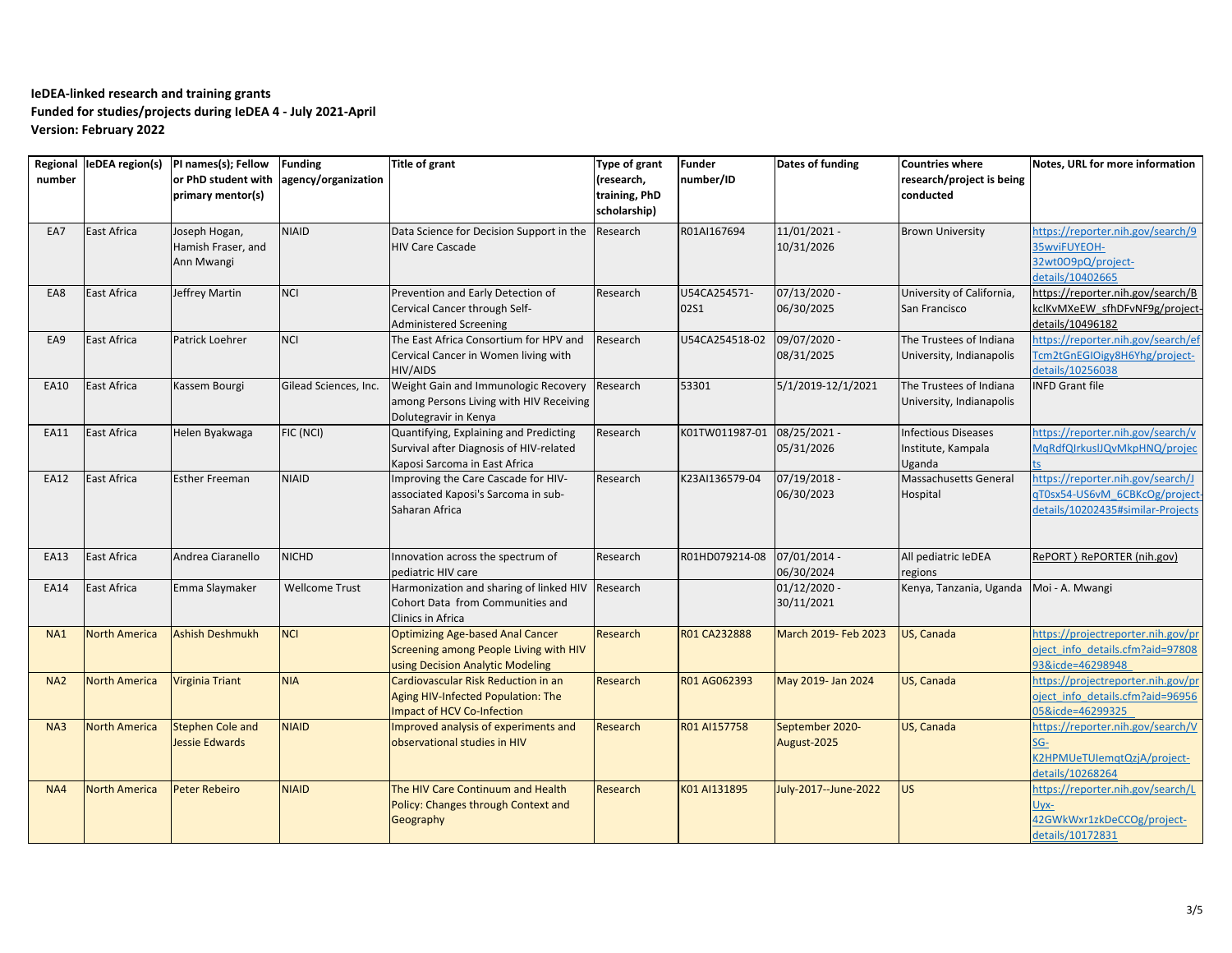| number          |                      | Regional leDEA region(s) PI names(s); Fellow<br>or PhD student with<br>primary mentor(s) | <b>Funding</b><br>agency/organization | <b>Title of grant</b>                                                                                                 | <b>Type of grant</b><br>(research,<br>training, PhD<br>scholarship) | <b>Funder</b><br>number/ID | Dates of funding               | <b>Countries where</b><br>research/project is being<br>conducted | Notes, URL for more information                                                                          |
|-----------------|----------------------|------------------------------------------------------------------------------------------|---------------------------------------|-----------------------------------------------------------------------------------------------------------------------|---------------------------------------------------------------------|----------------------------|--------------------------------|------------------------------------------------------------------|----------------------------------------------------------------------------------------------------------|
| EA7             | East Africa          | Joseph Hogan,<br>Hamish Fraser, and<br>Ann Mwangi                                        | <b>NIAID</b>                          | Data Science for Decision Support in the<br><b>HIV Care Cascade</b>                                                   | Research                                                            | R01AI167694                | $11/01/2021 -$<br>10/31/2026   | <b>Brown University</b>                                          | https://reporter.nih.gov/search/9<br>35wviFUYEOH-<br>32wt0O9pQ/project-<br>details/10402665              |
| EA8             | <b>East Africa</b>   | Jeffrey Martin                                                                           | <b>NCI</b>                            | Prevention and Early Detection of<br>Cervical Cancer through Self-<br><b>Administered Screening</b>                   | Research                                                            | U54CA254571-<br>02S1       | 07/13/2020 -<br>06/30/2025     | University of California,<br>San Francisco                       | https://reporter.nih.gov/search/B<br>kclKvMXeEW sfhDFvNF9g/project-<br>details/10496182                  |
| EA9             | <b>East Africa</b>   | Patrick Loehrer                                                                          | <b>NCI</b>                            | The East Africa Consortium for HPV and<br>Cervical Cancer in Women living with<br>HIV/AIDS                            | Research                                                            | U54CA254518-02             | 09/07/2020 -<br>08/31/2025     | The Trustees of Indiana<br>University, Indianapolis              | https://reporter.nih.gov/search/ef<br>Tcm2tGnEGIOigy8H6Yhg/project-<br>details/10256038                  |
| EA10            | East Africa          | Kassem Bourgi                                                                            | Gilead Sciences, Inc.                 | Weight Gain and Immunologic Recovery<br>among Persons Living with HIV Receiving<br>Dolutegravir in Kenya              | Research                                                            | 53301                      | 5/1/2019-12/1/2021             | The Trustees of Indiana<br>University, Indianapolis              | <b>INFD Grant file</b>                                                                                   |
| EA11            | <b>East Africa</b>   | Helen Byakwaga                                                                           | FIC (NCI)                             | Quantifying, Explaining and Predicting<br>Survival after Diagnosis of HIV-related<br>Kaposi Sarcoma in East Africa    | Research                                                            | K01TW011987-01             | 08/25/2021 -<br>05/31/2026     | <b>Infectious Diseases</b><br>Institute, Kampala<br>Uganda       | https://reporter.nih.gov/search/v<br>MqRdfQIrkuslJQvMkpHNQ/projec                                        |
| <b>EA12</b>     | East Africa          | <b>Esther Freeman</b>                                                                    | <b>NIAID</b>                          | Improving the Care Cascade for HIV-<br>associated Kaposi's Sarcoma in sub-<br>Saharan Africa                          | Research                                                            | K23AI136579-04             | 07/19/2018 -<br>06/30/2023     | Massachusetts General<br>Hospital                                | https://reporter.nih.gov/search/J<br>gT0sx54-US6vM 6CBKcOg/project-<br>details/10202435#similar-Projects |
| EA13            | <b>East Africa</b>   | Andrea Ciaranello                                                                        | <b>NICHD</b>                          | Innovation across the spectrum of<br>pediatric HIV care                                                               | Research                                                            | R01HD079214-08             | 07/01/2014 -<br>06/30/2024     | All pediatric IeDEA<br>regions                                   | RePORT ) RePORTER (nih.gov)                                                                              |
| EA14            | <b>East Africa</b>   | Emma Slaymaker                                                                           | <b>Wellcome Trust</b>                 | Harmonization and sharing of linked HIV<br>Cohort Data from Communities and<br>Clinics in Africa                      | Research                                                            |                            | $01/12/2020 -$<br>30/11/2021   | Kenya, Tanzania, Uganda                                          | Moi - A. Mwangi                                                                                          |
| <b>NA1</b>      | <b>North America</b> | Ashish Deshmukh                                                                          | <b>NCI</b>                            | <b>Optimizing Age-based Anal Cancer</b><br>Screening among People Living with HIV<br>using Decision Analytic Modeling | Research                                                            | R01 CA232888               | March 2019- Feb 2023           | US, Canada                                                       | https://projectreporter.nih.gov/pr<br>oject info details.cfm?aid=97808<br>93&icde=46298948               |
| NA <sub>2</sub> | <b>North America</b> | Virginia Triant                                                                          | <b>NIA</b>                            | Cardiovascular Risk Reduction in an<br>Aging HIV-Infected Population: The<br><b>Impact of HCV Co-Infection</b>        | Research                                                            | R01 AG062393               | May 2019- Jan 2024             | US, Canada                                                       | https://projectreporter.nih.gov/pr<br>oject info details.cfm?aid=96956<br>05&icde=46299325               |
| NA3             | <b>North America</b> | <b>Stephen Cole and</b><br><b>Jessie Edwards</b>                                         | <b>NIAID</b>                          | Improved analysis of experiments and<br>observational studies in HIV                                                  | Research                                                            | R01 AI157758               | September 2020-<br>August-2025 | US, Canada                                                       | https://reporter.nih.gov/search/V<br>SG-<br>K2HPMUeTUIemqtQzjA/project-<br>details/10268264              |
| NA4             | <b>North America</b> | <b>Peter Rebeiro</b>                                                                     | <b>NIAID</b>                          | The HIV Care Continuum and Health<br>Policy: Changes through Context and<br>Geography                                 | Research                                                            | K01 AI131895               | July-2017--June-2022           | US.                                                              | https://reporter.nih.gov/search/L<br>Uyx-<br>42GWkWxr1zkDeCCOg/project-<br>details/10172831              |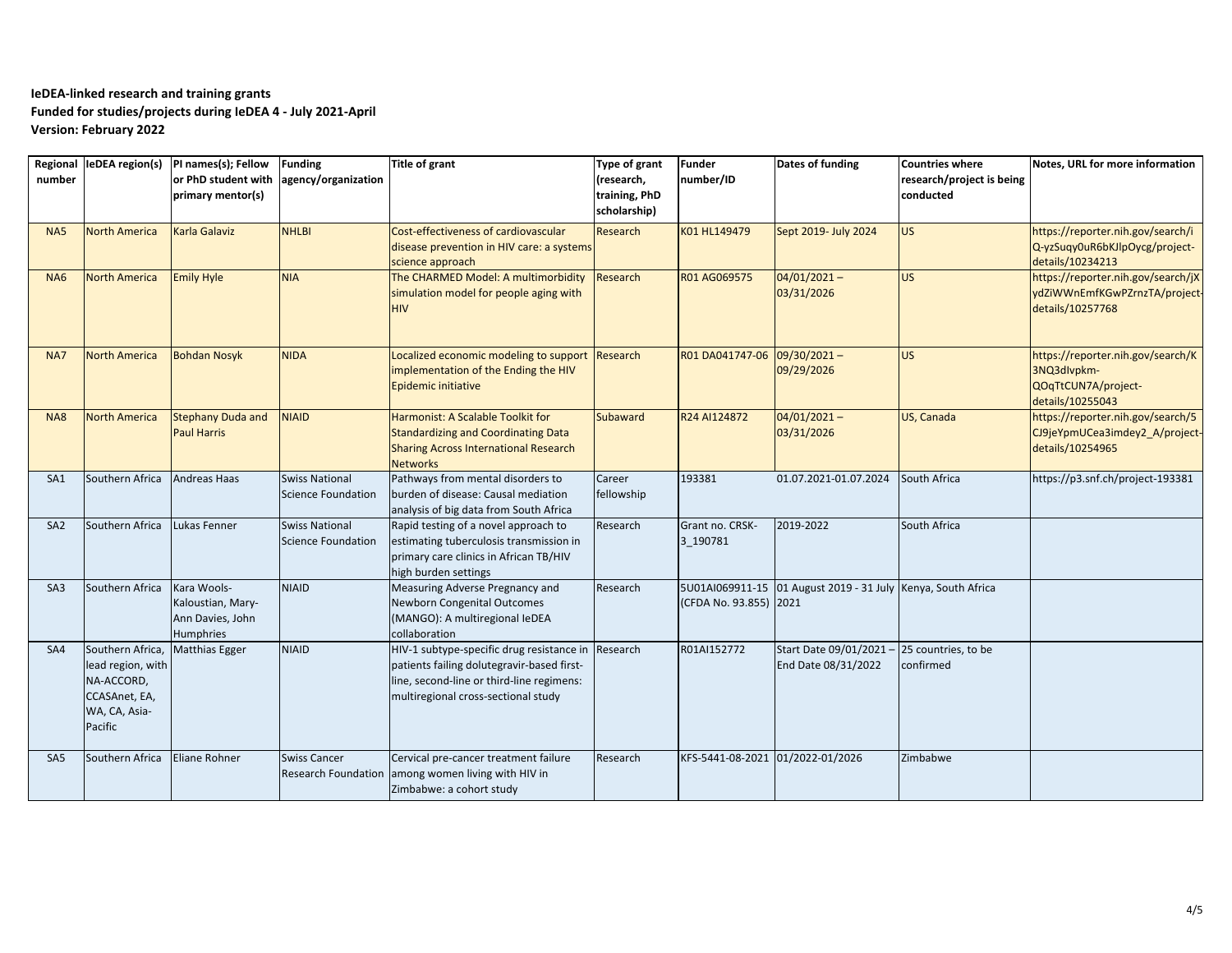| number          |                                                                                                  | Regional leDEA region(s)  PI names(s); Fellow<br>or PhD student with<br>primary mentor(s) | <b>Funding</b><br>agency/organization              | Title of grant                                                                                                                                                                       | Type of grant<br>(research,<br>training, PhD<br>scholarship) | <b>Funder</b><br>number/ID       | Dates of funding                                             | Countries where<br>research/project is being<br>conducted | Notes, URL for more information                                                             |
|-----------------|--------------------------------------------------------------------------------------------------|-------------------------------------------------------------------------------------------|----------------------------------------------------|--------------------------------------------------------------------------------------------------------------------------------------------------------------------------------------|--------------------------------------------------------------|----------------------------------|--------------------------------------------------------------|-----------------------------------------------------------|---------------------------------------------------------------------------------------------|
| NA5             | <b>North America</b>                                                                             | <b>Karla Galaviz</b>                                                                      | <b>NHLBI</b>                                       | Cost-effectiveness of cardiovascular<br>disease prevention in HIV care: a systems<br>science approach                                                                                | Research                                                     | K01 HL149479                     | Sept 2019- July 2024                                         | <b>US</b>                                                 | https://reporter.nih.gov/search/i<br>Q-yzSuqy0uR6bKJlpOycg/project-<br>details/10234213     |
| NA <sub>6</sub> | <b>North America</b>                                                                             | <b>Emily Hyle</b>                                                                         | <b>NIA</b>                                         | The CHARMED Model: A multimorbidity<br>simulation model for people aging with<br><b>HIV</b>                                                                                          | Research                                                     | R01 AG069575                     | $04/01/2021 -$<br>03/31/2026                                 | US                                                        | https://reporter.nih.gov/search/jX<br>ydZiWWnEmfKGwPZrnzTA/project-<br>details/10257768     |
| NA7             | <b>North America</b>                                                                             | <b>Bohdan Nosyk</b>                                                                       | <b>NIDA</b>                                        | Localized economic modeling to support<br>implementation of the Ending the HIV<br>Epidemic initiative                                                                                | Research                                                     | R01 DA041747-06                  | $09/30/2021 -$<br>09/29/2026                                 | <b>US</b>                                                 | https://reporter.nih.gov/search/K<br>3NQ3dlvpkm-<br>QOqTtCUN7A/project-<br>details/10255043 |
| <b>NA8</b>      | <b>North America</b>                                                                             | <b>Stephany Duda and</b><br><b>Paul Harris</b>                                            | <b>NIAID</b>                                       | Harmonist: A Scalable Toolkit for<br><b>Standardizing and Coordinating Data</b><br><b>Sharing Across International Research</b><br><b>Networks</b>                                   | <b>Subaward</b>                                              | R24 AI124872                     | $04/01/2021 -$<br>03/31/2026                                 | US, Canada                                                | https://reporter.nih.gov/search/5<br>CJ9jeYpmUCea3imdey2_A/project-<br>details/10254965     |
| SA <sub>1</sub> | Southern Africa                                                                                  | Andreas Haas                                                                              | <b>Swiss National</b><br><b>Science Foundation</b> | Pathways from mental disorders to<br>burden of disease: Causal mediation<br>analysis of big data from South Africa                                                                   | Career<br>fellowship                                         | 193381                           | 01.07.2021-01.07.2024                                        | South Africa                                              | https://p3.snf.ch/project-193381                                                            |
| SA <sub>2</sub> | Southern Africa                                                                                  | Lukas Fenner                                                                              | <b>Swiss National</b><br><b>Science Foundation</b> | Rapid testing of a novel approach to<br>estimating tuberculosis transmission in<br>primary care clinics in African TB/HIV<br>high burden settings                                    | Research                                                     | Grant no. CRSK-<br>3 190781      | 2019-2022                                                    | South Africa                                              |                                                                                             |
| SA <sub>3</sub> | Southern Africa                                                                                  | Kara Wools-<br>Kaloustian, Mary-<br>Ann Davies, John<br>Humphries                         | <b>NIAID</b>                                       | Measuring Adverse Pregnancy and<br><b>Newborn Congenital Outcomes</b><br>(MANGO): A multiregional IeDEA<br>collaboration                                                             | Research                                                     | (CFDA No. 93.855) 2021           | 5U01AI069911-15 01 August 2019 - 31 July Kenya, South Africa |                                                           |                                                                                             |
| SA4             | Southern Africa,<br>lead region, with<br>NA-ACCORD,<br>CCASAnet, EA,<br>WA, CA, Asia-<br>Pacific | <b>Matthias Egger</b>                                                                     | <b>NIAID</b>                                       | HIV-1 subtype-specific drug resistance in Research<br>patients failing dolutegravir-based first-<br>line, second-line or third-line regimens:<br>multiregional cross-sectional study |                                                              | R01AI152772                      | Start Date 09/01/2021<br>End Date 08/31/2022                 | 25 countries, to be<br>confirmed                          |                                                                                             |
| SA <sub>5</sub> | Southern Africa                                                                                  | Eliane Rohner                                                                             | <b>Swiss Cancer</b>                                | Cervical pre-cancer treatment failure<br>Research Foundation among women living with HIV in<br>Zimbabwe: a cohort study                                                              | Research                                                     | KFS-5441-08-2021 01/2022-01/2026 |                                                              | Zimbabwe                                                  |                                                                                             |